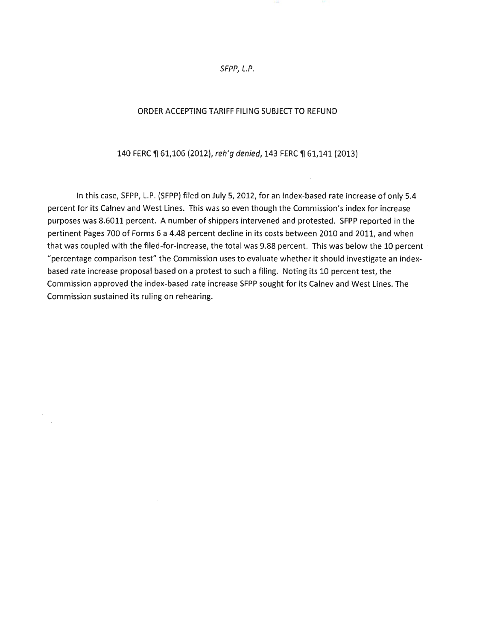### SFPP, L.P.

#### ORDER ACCEPTING TARIFF FILING SUBJECT TO REFUND

### 140 FERC ¶ 61,106 (2012), reh'g denied, 143 FERC ¶ 61,141 (2013)

In this case, SFPP, L.P. (SFPP) filed on July 5, 2012, for an index-based rate increase of only 5.4 percent for its Calnev and West Lines. This was so even though the Commission's index for increase purposes was 8.6011 percent. A number of shippers intervened and protested. SFPP reported in the pertinent Pages 700 of Forms 6 a 4.48 percent decline in its costs between 2010 and 2011, and when that was coupled with the filed-for-increase, the total was 9.88 percent. This was below the 10 percent "percentage comparison test" the Commission uses to evaluate whether it should investigate an indexbased rate increase proposal based on a protest to such a filing. Noting its 10 percent test, the Commission approved the index-based rate increase SFPP sought for its Calnev and West Lines. The Commission sustained its ruling on rehearing.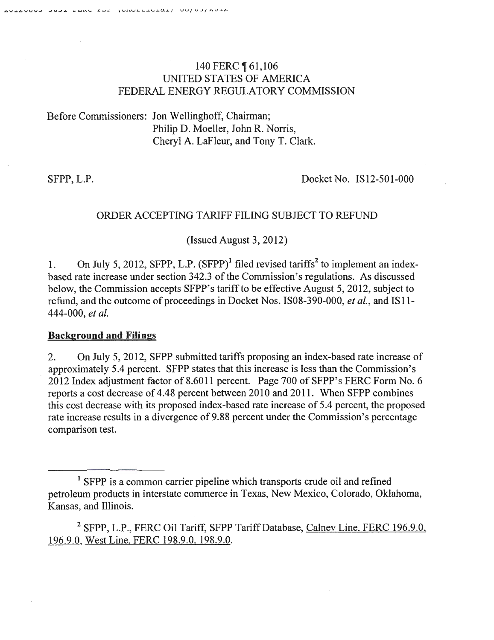# 140 FERC  $$61,106$ UNITED STATES OF AMERICA FEDERAL ENERGY REGULATORY COMMISSION

Before Commissioners: Jon Wellinghoff, Chairman; Philip D. Moeller, John R. Norris, Cheryl A. LaFleur, and Tony T. Clark.

SFPP, L.P.

Docket No. IS12-501-000

# ORDER ACCEPTING TARIFF FILING SUBJECT TO REFUND

(Issued August 3, 2012)

1. On July 5, 2012, SFPP, L.P.  $(SFPP)^{1}$  filed revised tariffs<sup>2</sup> to implement an indexbased rate increase under section 342.3 of the Commission's regulations. As discussed below, the Commission accepts SFPP's tariff to be effective August 5, 2012, subject to refund, and the outcome of proceedings in Docket Nos. IS08-390-000, *et al.,* and IS11- 444-000, *et al.* 

## **Background and Filings**

2. On July 5, 2012, SFPP submitted tariffs proposing an index-based rate increase of approximately 5.4 percent. SFPP states that this increase is less than the Commission's 2012 Index adjustment factor of 8.6011 percent. Page 700 of SFPP's FERC Form No. 6 reports a cost decrease of 4.48 percent between 2010 and 2011 , When SFPP combines this cost decrease with its proposed index-based rate increase of 5.4 percent, the proposed rate increase results in a divergence of 9.88 percent under the Commission's percentage comparison test.

<sup>2</sup> SFPP, L.P., FERC Oil Tariff, SFPP Tariff Database, Calney Line. FERC 196.9.0. 196.9.0, West Line. FERC 198.9.0. 198.9.0.

<sup>&</sup>lt;sup>1</sup> SFPP is a common carrier pipeline which transports crude oil and refined petroleum products in interstate commerce in Texas, New Mexico, Colorado, Oklahoma, Kansas, and Illinois.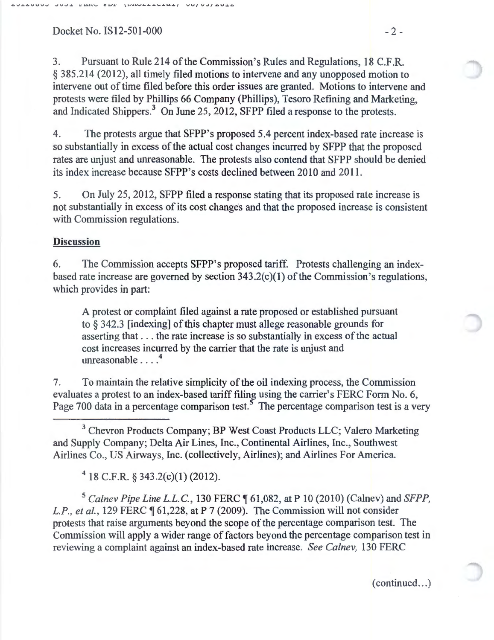Docket No. IS12-501-000 -2-

3. Pursuant to Rule 214 of the Commission's Rules and Regulations, 18 C.F.R. § 385.214 (2012), all timely filed motions to intervene and any unopposed motion to intervene out of time filed before this order issues are granted. Motions to intervene and protests were filed by Phillips 66 Company (Phillips), Tesoro Refining and Marketing, and Indicated Shippers.<sup>3</sup> On June 25, 2012, SFPP filed a response to the protests.

4. The protests argue that SFPP's proposed 5.4 percent index-based rate increase is so substantially in excess of the actual cost changes incurred by SFPP that the proposed rates are unjust and unreasonable. The protests also contend that SFPP should be denied its index increase because SFPP's costs declined between 2010 and 2011.

5. On July 25, 2012, SFPP filed a response stating that its proposed rate increase is not substantially in excess of its cost changes and that the proposed increase is consistent with Commission regulations.

## **Discussion**

6. The Commission accepts SFPP's proposed tariff. Protests challenging an indexbased rate increase are governed by section 343.2(c)(1) of the Commission's regulations, which provides in part:

A protest or complaint filed against a rate proposed or established pursuant to§ 342.3 [indexing] of this chapter must allege reasonable grounds for asserting that ... the rate increase is so substantially in excess of the actual cost increases incurred by the carrier that the rate is unjust and unreasonable . . . .<sup>4</sup>

7. To maintain the relative simplicity of the oil indexing process, the Commission evaluates a protest to an index-based tariff filing using the carrier's FERC Form No.6, Page 700 data in a percentage comparison test.<sup>5</sup> The percentage comparison test is a very

<sup>3</sup> Chevron Products Company; BP West Coast Products LLC; Valero Marketing and Supply Company; Delta Air Lines, Inc., Continental Airlines, Inc., Southwest Airlines Co., US Airways, Inc. (collectively, Airlines); and Airlines For America.

4 18 C.F.R. § 343.2(c)(l) (2012).

<sup>5</sup> Calnev Pipe Line L.L.C., 130 FERC ¶ 61,082, at P 10 (2010) (Calnev) and *SFPP*, *L.P., et al.,* 129 FERC ¶ 61,228, at P 7 (2009). The Commission will not consider protests that raise arguments beyond the scope of the percentage comparison test. The Commission will apply a wider range of factors beyond the percentage comparison test in reviewing a complaint against an index-based rate increase. *See Calnev,* 130 FERC

 $(continued...)$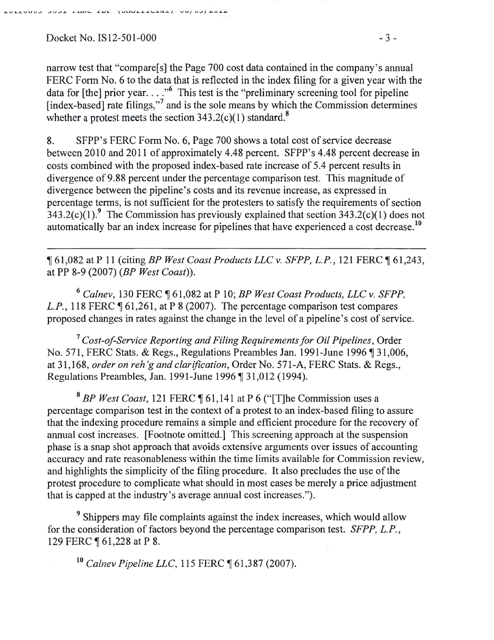Docket No. IS12-501-000 - 3 -

narrow test that "compare[s] the Page 700 cost data contained in the company's annual FERC Form No. 6 to the data that is reflected in the index filing for a given year with the data for [the] prior year...." This test is the "preliminary screening tool for pipeline [index-based] rate filings,"<sup>7</sup> and is the sole means by which the Commission determines whether a protest meets the section  $343.2(c)(1)$  standard.<sup>8</sup>

8. SFPP's FERC Form No. 6, Page 700 shows a total cost of service decrease between 2010 and 2011 of approximately 4.48 percent. SFPP's 4.48 percent decrease in costs combined with the proposed index-based rate increase of 5.4 percent results in divergence of9.88 percent under the percentage comparison test. This magnitude of divergence between the pipeline's costs and its revenue increase, as expressed in percentage terms, is not sufficient for the protesters to satisfy the requirements of section  $343.2(c)(1)$ .<sup>9</sup> The Commission has previously explained that section 343.2(c)(1) does not automatically bar an index increase for pipelines that have experienced a cost decrease.<sup>10</sup>

<sup>~</sup>61 ,082 at P 11 (citing *BP West Coast Products LLC v. SFPP, L.P.,* 121 FERC ~ 61 ,243, at PP 8-9 (2007) *(BP West Coast)).* 

<sup>6</sup> Calnev, 130 FERC ¶ 61,082 at P 10; *BP West Coast Products, LLC v. SFPP, L.P.*, 118 FERC  $\P$  61,261, at P 8 (2007). The percentage comparison test compares proposed changes in rates against the change in the level of a pipeline's cost of service.

<sup>7</sup>*Cost-of-Service Reporting and Filing Requirements for Oil Pipelines,* Order No. 571, FERC Stats. & Regs., Regulations Preambles Jan. 1991-June 1996 ¶ 31,006, at 31,168, *order on reh 'g and clarification,* Order No. 571-A, FERC Stats. & Regs., Regulations Preambles, Jan. 1991-June 1996 ¶ 31,012 (1994).

<sup>8</sup> BP West Coast, 121 FERC ¶ 61,141 at P 6 ("[T]he Commission uses a percentage comparison test in the context of a protest to an index-based filing to assure that the indexing procedure remains a simple and efficient procedure for the recovery of annual cost increases. [Footnote omitted.] This screening approach at the suspension phase is a snap shot approach that avoids extensive arguments over issues of accounting accuracy and rate reasonableness within the time limits available for Commission review, and highlights the simplicity of the filing procedure. It also precludes the use of the protest procedure to complicate what should in most cases be merely a price adjustment that is capped at the industry's average annual cost increases.").

<sup>9</sup> Shippers may file complaints against the index increases, which would allow for the consideration of factors beyond the percentage comparison test. *SFPP*, L.P., 129 FERC ¶ 61,228 at P 8.

<sup>10</sup> Calnev Pipeline LLC, 115 FERC ¶ 61,387 (2007).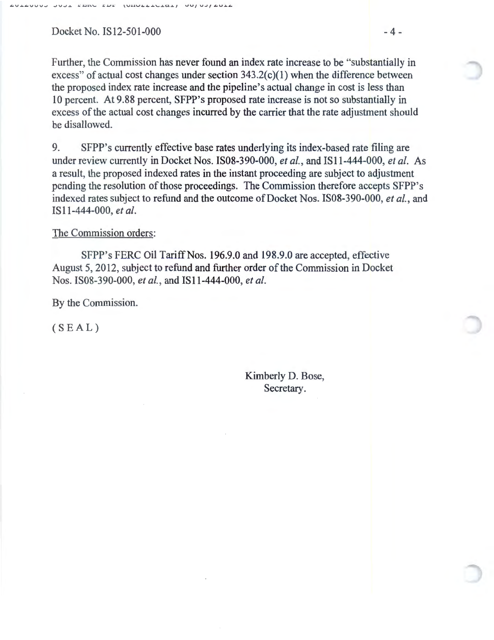Docket No. IS12-501-000 -4 -

Further, the Commission has never found an index rate increase to be "substantially in excess" of actual cost changes under section  $343.2(c)(1)$  when the difference between the proposed index rate increase and the pipeline's actual change in cost is less than 10 percent. At 9.88 percent, SFPP's proposed rate increase is not so substantially in excess of the actual cost changes incurred by the carrier that the rate adjustment should be disallowed.

9. SFPP's currently effective base rates underlying its index-based rate filing are under review currently in Docket Nos. IS08-390-000, *et al.,* and IS11-444-000, *et al.* As a result, the proposed indexed rates in the instant proceeding are subject to adjustment pending the resolution of those proceedings. The Commission therefore accepts SFPP's indexed rates subject to refund and the outcome of Docket Nos. IS08-390-000, *et al.,* and IS11-444-000, *eta!.* 

### The Commission orders:

SFPP's FERC Oil Tariff Nos. 196.9.0 and 198.9.0 are accepted, effective August 5, 2012, subject to refund and further order of the Commission in Docket Nos. IS08-390-000, *et al.,* and IS11-444-000, *eta!.* 

By the Commission.

(SEAL)

Kimberly D. Bose, Secretary.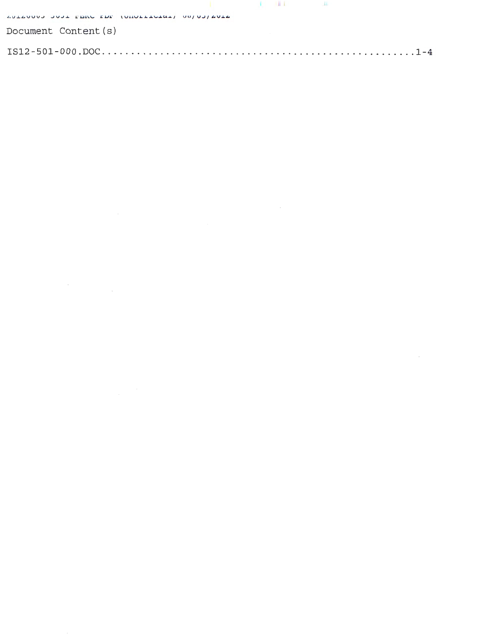|                                               | the contract of the contract of the contract of the contract of the contract of the contract of the contract of |  |
|-----------------------------------------------|-----------------------------------------------------------------------------------------------------------------|--|
| CATABLE SUPE FRIME FOR TURNETALLY AND ASSAULT |                                                                                                                 |  |
| Document Content (s)                          |                                                                                                                 |  |
|                                               |                                                                                                                 |  |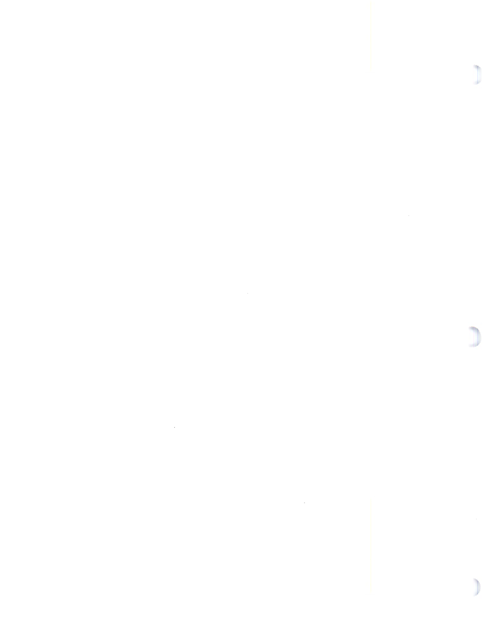$\label{eq:2.1} \frac{1}{\sqrt{2}}\int_{\mathbb{R}^3}\frac{1}{\sqrt{2}}\left(\frac{1}{\sqrt{2}}\right)^2\frac{1}{\sqrt{2}}\left(\frac{1}{\sqrt{2}}\right)^2\frac{1}{\sqrt{2}}\left(\frac{1}{\sqrt{2}}\right)^2\frac{1}{\sqrt{2}}\left(\frac{1}{\sqrt{2}}\right)^2.$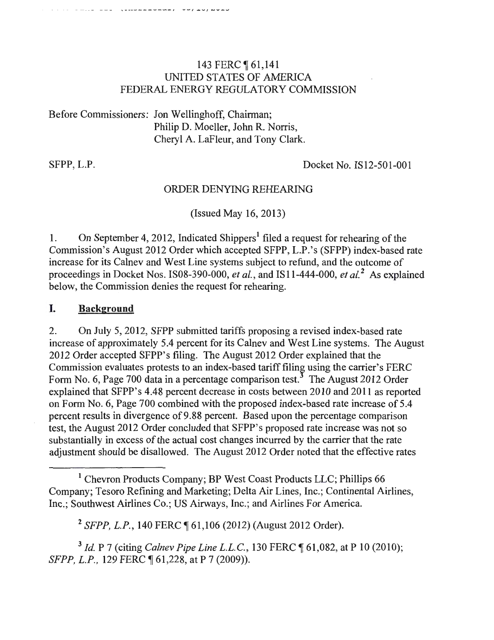# 143 FERC **[61,141** UNITED STATES OF AMERICA FEDERAL ENERGY REGULATORY COMMISSION

Before Commissioners: Jon Wellinghoff, Chairman; Philip D. Moeller, John R. Norris, Cheryl A. LaFleur, and Tony Clark.

SFPP, L.P.

Docket No. IS12-501-001

## ORDER DENYING REHEARING

(Issued May 16, 2013)

1. On September 4, 2012, Indicated Shippers<sup>1</sup> filed a request for rehearing of the Commission's August 2012 Order which accepted SFPP, L.P. 's (SFPP) index-based rate increase for its Calnev and West Line systems subject to refund, and the outcome of proceedings in Docket Nos. IS08-390-000, *eta/.,* and IS 11-444-000, *eta/.* 2 As explained below, the Commission denies the request for rehearing.

# I. **Background**

2. On July 5, 2012, SFPP submitted tariffs proposing a revised index-based rate increase of approximately 5.4 percent for its Calnev and West Line systems. The August 2012 Order accepted SFPP's filing. The August 2012 Order explained that the Commission evaluates protests to an index-based tariff filing using the carrier's FERC Form No. 6, Page 700 data in a percentage comparison test.<sup>3</sup> The August 2012 Order explained that SFPP's 4.48 percent decrease in costs between 2010 and 2011 as reported on Form No. 6, Page 700 combined with the proposed index-based rate increase of 5.4 percent results in divergence of9.88 percent. Based upon the percentage comparison test, the August 2012 Order concluded that SFPP's proposed rate increase was not so substantially in excess of the actual cost changes incurred by the carrier that the rate adjustment should be disallowed. The August 2012 Order noted that the effective rates

<sup>3</sup> Id. P 7 (citing *Calnev Pipe Line L.L.C.*, 130 FERC ¶ 61,082, at P 10 (2010); *SFPP, L.P.,* 129 FERC  $\sqrt{ }$  61,228, at P 7 (2009)).

<sup>&</sup>lt;sup>1</sup> Chevron Products Company; BP West Coast Products LLC; Phillips 66 Company; Tesoro Refining and Marketing; Delta Air Lines, Inc.; Continental Airlines, Inc.; Southwest Airlines Co.; US Airways, Inc.; and Airlines For America.

<sup>&</sup>lt;sup>2</sup> SFPP, L.P., 140 FERC ¶ 61,106 (2012) (August 2012 Order).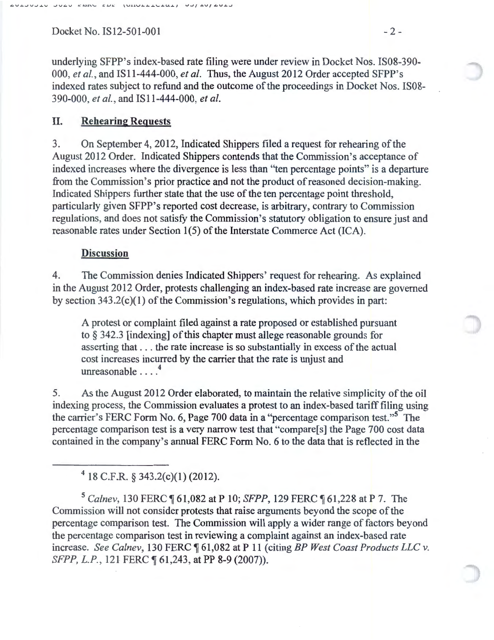$Docket No.$  IS12-501-001  $-2$ -

underlying SFPP's index-based rate filing were under review in Docket Nos. IS08-390- 000, *eta/.,* and IS11-444-000, *eta/.* Thus, the August 2012 Order accepted SFPP's indexed rates subject to refund and the outcome of the proceedings in Docket Nos. IS08- 390-000, *eta/. ,* and IS11-444-000, *eta/.* 

## **II. Rehearing Requests**

3. On September 4, 2012, Indicated Shippers filed a request for rehearing of the August 2012 Order. Indicated Shippers contends that the Commission's acceptance of indexed increases where the divergence is less than "ten percentage points" is a departure from the Commission's prior practice and not the product of reasoned decision-making. Indicated Shippers further state that the use of the ten percentage point threshold, particularly given SFPP's reported cost decrease, is arbitrary, contrary to Commission regulations, and does not satisfy the Commission's statutory obligation to ensure just and reasonable rates under Section 1(5) of the Interstate Commerce Act (ICA).

### **Discussion**

4. The Commission denies Indicated Shippers' request for rehearing. As explained in the August 2012 Order, protests challenging an index-based rate increase are governed by section 343.2(c)(l) of the Commission's regulations, which provides in part:

A protest or complaint filed against a rate proposed or established pursuant to§ 342.3 [indexing] of this chapter must allege reasonable grounds for asserting that ... the rate increase is so substantially in excess of the actual cost increases incurred by the carrier that the rate is unjust and unreasonable .. .. 4

5. As the August 2012 Order elaborated, to maintain the relative simplicity of the oil indexing process, the Commission evaluates a protest to an index-based tariff filing using the carrier's FERC Form No. 6, Page 700 data in a "percentage comparison test."5 The percentage comparison test is a very narrow test that "compare[s] the Page 700 cost data contained in the company's annual FERC Form No.6 to the data that is reflected in the

4 18 C.P.R.§ 343.2(c)(1) (2012).

<sup>5</sup> Calney, 130 FERC  $\P$  61,082 at P 10; *SFPP*, 129 FERC  $\P$  61,228 at P 7. The Commission will not consider protests that raise arguments beyond the scope of the percentage comparison test. The Commission will apply a wider range of factors beyond the percentage comparison test in reviewing a complaint against an index-based rate increase. *See Calnev*, 130 FERC  $\P$  61,082 at P 11 (citing *BP West Coast Products LLC v. SFPP, L.P., 121 FERC*  $\sqrt{61,243}$ , at PP 8-9 (2007)).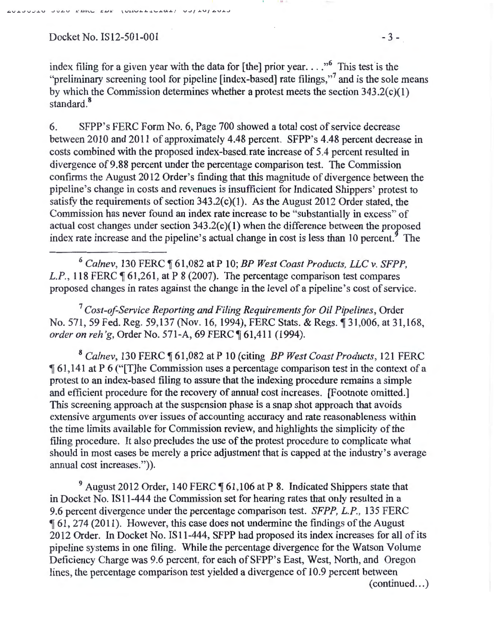$Docket No.$  IS12-501-001  $-3-$ 

**'V ..a.. ..JV..J.,.&..V ..JV.C..V .L: OJ.'\.'-** s;~J,.." **\ <sup>U</sup> J.J.V.L-.L-.,.&..'-.,.&..U.,.&.. <sup>J</sup>***V..Jf* ~V/ **'V..&..-J** 

index filing for a given year with the data for [the] prior year.  $\ldots$ <sup>6</sup> This test is the "preliminary screening tool for pipeline [index-based] rate filings,"7 and is the sole means by which the Commission determines whether a protest meets the section 343.2(c)(1) standard. 8

6. SFPP's FERC Form No. 6, Page 700 showed a total cost of service decrease between 2010 and 2011 of approximately 4.48 percent. SFPP's 4.48 percent decrease in costs combined with the proposed index-based. rate increase of 5.4 percent resulted in divergence of 9.88 percent under the percentage comparison test. The Commission confirms the August 2012 Order's finding that this magnitude of divergence between the pipeline's change in costs and revenues is insufficient for Indicated Shippers' protest to satisfy the requirements of section  $343.2(c)(1)$ . As the August 2012 Order stated, the Commission has never found an index rate increase to be "substantially in excess" of actual cost changes under section  $343.2(c)(1)$  when the difference between the proposed index rate increase and the pipeline's actual change in cost is less than 10 percent.<sup>9</sup> The

<sup>6</sup> Calney, 130 FERC ¶ 61,082 at P 10; *BP West Coast Products, LLC v. SFPP*, *L.P.*, 118 FERC  $\P$  61,261, at P 8 (2007). The percentage comparison test compares proposed changes in rates against the change in the level of a pipeline's cost of service.

<sup>7</sup>*Cost-of-Service Reporting and Filing Requirements for Oil Pipelines,* Order No. 571, 59 Fed. Reg. 59,137 (Nov. 16, 1994), FERC Stats. & Regs.  $\sqrt{31,006}$ , at 31,168, *order on reh'g, Order No.* 571-A, 69 FERC ¶ 61,411 (1994).

<sup>8</sup> Calnev, 130 FERC ¶ 61,082 at P 10 (citing *BP West Coast Products*, 121 FERC <sup>~</sup>61, 141 at P 6 ("[T]he Commission uses a percentage comparison test in the context of a protest to an index-based filing to assure that the indexing procedure remains a simple and efficient procedure for the recovery of annual cost increases. [Footnote omitted.] This screening approach at the suspension phase is a snap shot approach that avoids extensive arguments over issues of accounting accuracy and rate reasonableness within the time limits available for Commission review, and highlights the simplicity of the filing procedure. It also precludes the use of the protest procedure to complicate what should in most cases be merely a price adjustment that is capped at the industry's average annual cost increases.")).

 $9$  August 2012 Order, 140 FERC  $\P$  61,106 at P 8. Indicated Shippers state that in Docket No. IS 11-444 the Commission set for hearing rates that only resulted in a 9.6 percent divergence under the percentage comparison test. *SFPP, L.P.,* 135 FERC <sup>~</sup>61 , 274 (2011). However, this case does not undermine the findings of the August 2012 Order. In Docket No. IS11-444, SFPP had proposed its index increases for all of its pipeline systems in one filing. While the percentage divergence for the Watson Volume Deficiency Charge was 9.6 percent, for each of SFPP's East, West, North, and Oregon lines, the percentage comparison test yielded a divergence of 10.9 percent between

 $(continued...)$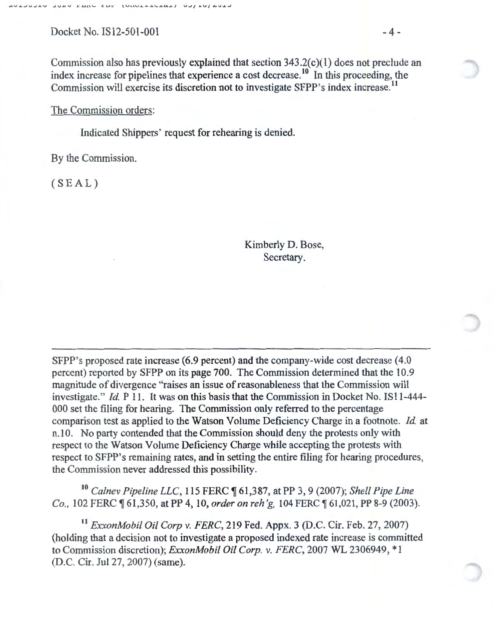$Docket No. IS12-501-001$  -4 -

Commission also has previously explained that section 343.2(c)(l) does not preclude an index increase for pipelines that experience a cost decrease.<sup>10</sup> In this proceeding, the Commission will exercise its discretion not to investigate SFPP's index increase.<sup>11</sup>

The Commission orders:

Indicated Shippers' request for rehearing is denied.

By the Commission.

(SEAL)

Kimberly D. Bose, Secretary.

SFPP's proposed rate increase (6.9 percent) and the company-wide cost decrease (4.0 percent) reported by SFPP on its page 700. The Commission determined that the 10.9 magnitude of divergence "raises an issue of reasonableness that the Commission will investigate." *!d.* P 11. It was on this basis that the Commission in Docket No. IS11-444- 000 set the filing for hearing. The Commission only referred to the percentage comparison test as applied to the Watson Volume Deficiency Charge in a footnote. *!d.* at n.10. No party contended that the Commission should deny the protests only with respect to the Watson Volume Deficiency Charge while accepting the protests with respect to SFPP's remaining rates, and in setting the entire filing for hearing procedures, the Commission never addressed this possibility.

<sup>10</sup> Calnev Pipeline LLC, 115 FERC ¶ 61,387, at PP 3, 9 (2007); *Shell Pipe Line Co.*, 102 FERC  $\llbracket 61,350$ , at PP 4, 10, *order on reh'g*, 104 FERC  $\llbracket 61,021$ , PP 8-9 (2003).

<sup>11</sup>*ExxonMobil Oil Corp v. FERC,* 219 Fed. Appx. 3 (D.C. Cir. Feb. 27, 2007) (holding that a decision not to investigate a proposed indexed rate increase is committed to Commission discretion); *ExxonMobil Oil Corp. v. FERC,* 2007 WL 2306949, \* 1 (D.C. Cir. Jul27, 2007) (same).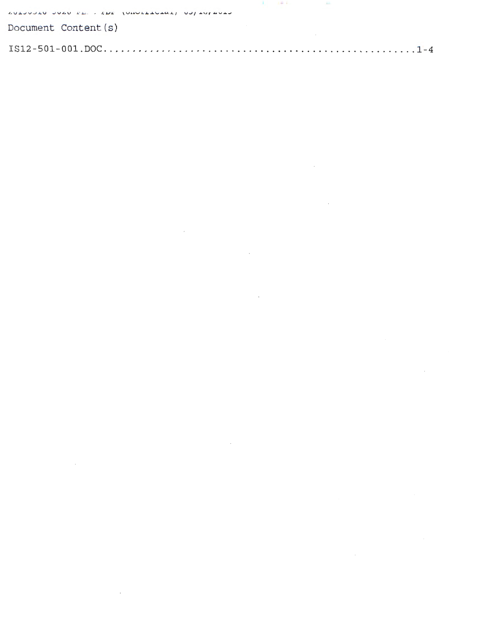| AULUULLU JUAU TEL - EDE (UNULLEULAR) UJ/LU/AULU |  |  |  |  |  |
|-------------------------------------------------|--|--|--|--|--|
| Document Content (s)                            |  |  |  |  |  |
|                                                 |  |  |  |  |  |

 $\label{eq:2.1} \frac{1}{\sqrt{2}}\int_{\mathbb{R}^3} \frac{1}{\sqrt{2}}\left(\frac{1}{\sqrt{2}}\right)^2\frac{1}{\sqrt{2}}\left(\frac{1}{\sqrt{2}}\right)^2\frac{1}{\sqrt{2}}\left(\frac{1}{\sqrt{2}}\right)^2.$ 

 $\mathcal{L}^{\text{max}}_{\text{max}}$  and  $\mathcal{L}^{\text{max}}_{\text{max}}$ 

 $\mathcal{L}^{\text{max}}_{\text{max}}$  and  $\mathcal{L}^{\text{max}}_{\text{max}}$ 

 $\label{eq:2.1} \frac{1}{\sqrt{2}}\int_{\mathbb{R}^3}\frac{1}{\sqrt{2}}\left(\frac{1}{\sqrt{2}}\right)^2\frac{1}{\sqrt{2}}\left(\frac{1}{\sqrt{2}}\right)^2\frac{1}{\sqrt{2}}\left(\frac{1}{\sqrt{2}}\right)^2\frac{1}{\sqrt{2}}\left(\frac{1}{\sqrt{2}}\right)^2.$ 

 $\label{eq:2.1} \frac{1}{2} \int_{\mathbb{R}^3} \frac{1}{\sqrt{2\pi}} \int_{\mathbb{R}^3} \frac{1}{\sqrt{2\pi}} \int_{\mathbb{R}^3} \frac{1}{\sqrt{2\pi}} \int_{\mathbb{R}^3} \frac{1}{\sqrt{2\pi}} \int_{\mathbb{R}^3} \frac{1}{\sqrt{2\pi}} \int_{\mathbb{R}^3} \frac{1}{\sqrt{2\pi}} \int_{\mathbb{R}^3} \frac{1}{\sqrt{2\pi}} \int_{\mathbb{R}^3} \frac{1}{\sqrt{2\pi}} \int_{\mathbb{R}^3}$ 

 $\label{eq:2.1} \mathcal{L}(\mathcal{L}^{\mathcal{L}}_{\mathcal{L}}(\mathcal{L}^{\mathcal{L}}_{\mathcal{L}})) \leq \mathcal{L}(\mathcal{L}^{\mathcal{L}}_{\mathcal{L}}(\mathcal{L}^{\mathcal{L}}_{\mathcal{L}})) \leq \mathcal{L}(\mathcal{L}^{\mathcal{L}}_{\mathcal{L}}(\mathcal{L}^{\mathcal{L}}_{\mathcal{L}}))$ 

 $\label{eq:2.1} \frac{1}{\sqrt{2}}\int_{\mathbb{R}^3}\frac{1}{\sqrt{2}}\left(\frac{1}{\sqrt{2}}\right)^2\frac{1}{\sqrt{2}}\left(\frac{1}{\sqrt{2}}\right)^2\frac{1}{\sqrt{2}}\left(\frac{1}{\sqrt{2}}\right)^2\frac{1}{\sqrt{2}}\left(\frac{1}{\sqrt{2}}\right)^2.$ 

 $\mathcal{L}(\mathcal{L}^{\text{max}}_{\mathcal{L}})$  ,  $\mathcal{L}^{\text{max}}_{\mathcal{L}}$  ,  $\mathcal{L}^{\text{max}}_{\mathcal{L}}$